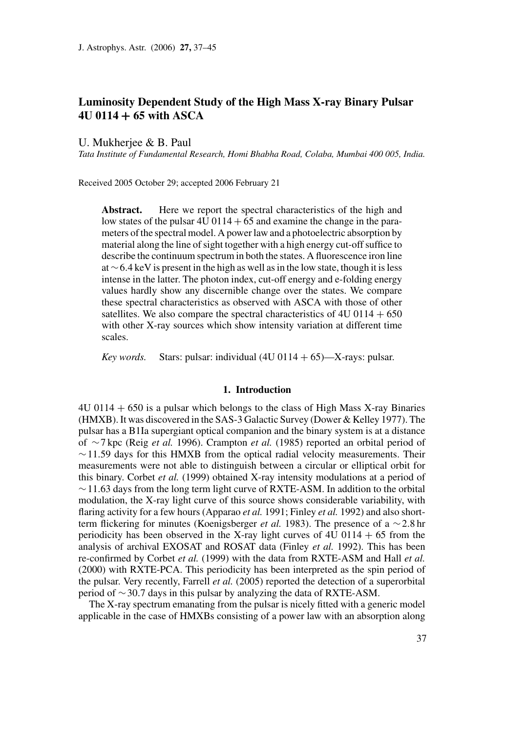# **Luminosity Dependent Study of the High Mass X-ray Binary Pulsar 4U 0114** + **65 with ASCA**

U. Mukherjee & B. Paul

*Tata Institute of Fundamental Research, Homi Bhabha Road, Colaba, Mumbai 400 005, India.*

Received 2005 October 29; accepted 2006 February 21

**Abstract.** Here we report the spectral characteristics of the high and low states of the pulsar  $4U\left(0114 + 65\right)$  and examine the change in the parameters of the spectral model. A power law and a photoelectric absorption by material along the line of sight together with a high energy cut-off suffice to describe the continuum spectrum in both the states. A fluorescence iron line at ∼6.4 keV is present in the high as well as in the low state, though it is less intense in the latter. The photon index, cut-off energy and e-folding energy values hardly show any discernible change over the states. We compare these spectral characteristics as observed with ASCA with those of other satellites. We also compare the spectral characteristics of  $4U\ 0114 + 650$ with other X-ray sources which show intensity variation at different time scales.

*Key words.* Stars: pulsar: individual  $(4U 0114 + 65)$ —X-rays: pulsar.

#### **1. Introduction**

4U 0114 + 650 is a pulsar which belongs to the class of High Mass X-ray Binaries (HMXB). It was discovered in the SAS-3 Galactic Survey (Dower & Kelley 1977). The pulsar has a B1Ia supergiant optical companion and the binary system is at a distance of ∼7 kpc (Reig *et al.* 1996). Crampton *et al.* (1985) reported an orbital period of  $~\sim$ 11.59 days for this HMXB from the optical radial velocity measurements. Their measurements were not able to distinguish between a circular or elliptical orbit for this binary. Corbet *et al.* (1999) obtained X-ray intensity modulations at a period of ∼11.63 days from the long term light curve of RXTE-ASM. In addition to the orbital modulation, the X-ray light curve of this source shows considerable variability, with flaring activity for a few hours (Apparao *et al.* 1991; Finley *et al.* 1992) and also shortterm flickering for minutes (Koenigsberger *et al.* 1983). The presence of a ∼2.8 hr periodicity has been observed in the X-ray light curves of  $4U$  0114 + 65 from the analysis of archival EXOSAT and ROSAT data (Finley *et al.* 1992). This has been re-confirmed by Corbet *et al.* (1999) with the data from RXTE-ASM and Hall *et al.* (2000) with RXTE-PCA. This periodicity has been interpreted as the spin period of the pulsar. Very recently, Farrell *et al.* (2005) reported the detection of a superorbital period of ∼30.7 days in this pulsar by analyzing the data of RXTE-ASM.

The X-ray spectrum emanating from the pulsar is nicely fitted with a generic model applicable in the case of HMXBs consisting of a power law with an absorption along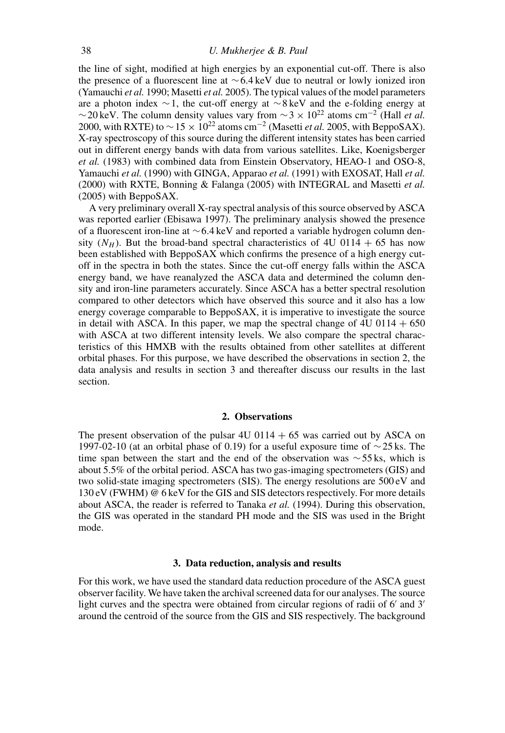#### 38 *U. Mukherjee & B. Paul*

the line of sight, modified at high energies by an exponential cut-off. There is also the presence of a fluorescent line at ∼6.4 keV due to neutral or lowly ionized iron (Yamauchi *et al.* 1990; Masetti *et al.* 2005). The typical values of the model parameters are a photon index ∼1, the cut-off energy at ∼8 keV and the e-folding energy at  $\sim$ 20 keV. The column density values vary from  $\sim$ 3 × 10<sup>22</sup> atoms cm<sup>-2</sup> (Hall *et al.*) 2000, with RXTE) to  $\sim$  15  $\times$  10<sup>22</sup> atoms cm<sup>-2</sup> (Masetti *et al.* 2005, with BeppoSAX). X-ray spectroscopy of this source during the different intensity states has been carried out in different energy bands with data from various satellites. Like, Koenigsberger *et al.* (1983) with combined data from Einstein Observatory, HEAO-1 and OSO-8, Yamauchi *et al.* (1990) with GINGA, Apparao *et al.* (1991) with EXOSAT, Hall *et al.* (2000) with RXTE, Bonning & Falanga (2005) with INTEGRAL and Masetti *et al.* (2005) with BeppoSAX.

A very preliminary overall X-ray spectral analysis of this source observed by ASCA was reported earlier (Ebisawa 1997). The preliminary analysis showed the presence of a fluorescent iron-line at ∼6.4 keV and reported a variable hydrogen column density  $(N_H)$ . But the broad-band spectral characteristics of 4U 0114 + 65 has now been established with BeppoSAX which confirms the presence of a high energy cutoff in the spectra in both the states. Since the cut-off energy falls within the ASCA energy band, we have reanalyzed the ASCA data and determined the column density and iron-line parameters accurately. Since ASCA has a better spectral resolution compared to other detectors which have observed this source and it also has a low energy coverage comparable to BeppoSAX, it is imperative to investigate the source in detail with ASCA. In this paper, we map the spectral change of  $4U\,0114 + 650$ with ASCA at two different intensity levels. We also compare the spectral characteristics of this HMXB with the results obtained from other satellites at different orbital phases. For this purpose, we have described the observations in section 2, the data analysis and results in section 3 and thereafter discuss our results in the last section.

### **2. Observations**

The present observation of the pulsar  $4U\left(0114 + 65\right)$  was carried out by ASCA on 1997-02-10 (at an orbital phase of 0.19) for a useful exposure time of  $\sim$ 25 ks. The time span between the start and the end of the observation was  $\sim$ 55 ks, which is about 5.5% of the orbital period. ASCA has two gas-imaging spectrometers (GIS) and two solid-state imaging spectrometers (SIS). The energy resolutions are 500 eV and 130 eV (FWHM) @ 6 keV for the GIS and SIS detectors respectively. For more details about ASCA, the reader is referred to Tanaka *et al.* (1994). During this observation, the GIS was operated in the standard PH mode and the SIS was used in the Bright mode.

## **3. Data reduction, analysis and results**

For this work, we have used the standard data reduction procedure of the ASCA guest observer facility. We have taken the archival screened data for our analyses. The source light curves and the spectra were obtained from circular regions of radii of 6' and 3' around the centroid of the source from the GIS and SIS respectively. The background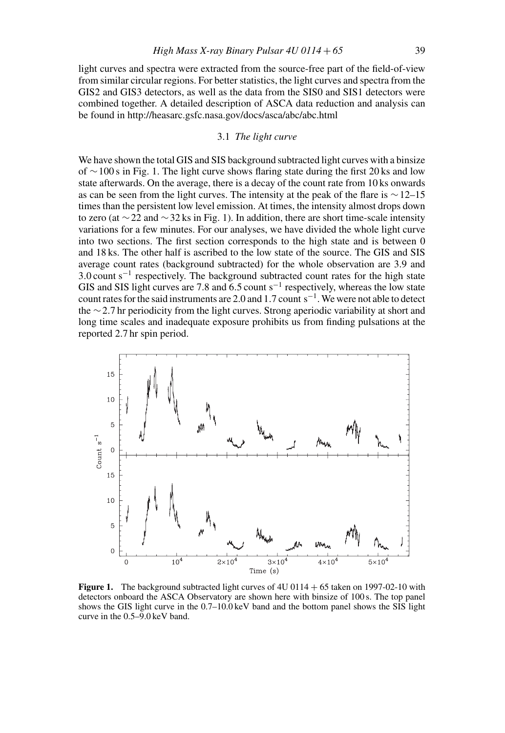light curves and spectra were extracted from the source-free part of the field-of-view from similar circular regions. For better statistics, the light curves and spectra from the GIS2 and GIS3 detectors, as well as the data from the SIS0 and SIS1 detectors were combined together. A detailed description of ASCA data reduction and analysis can be found in http://heasarc.gsfc.nasa.gov/docs/asca/abc/abc.html

## 3.1 *The light curve*

We have shown the total GIS and SIS background subtracted light curves with a binsize of ∼100 s in Fig. 1. The light curve shows flaring state during the first 20 ks and low state afterwards. On the average, there is a decay of the count rate from 10 ks onwards as can be seen from the light curves. The intensity at the peak of the flare is ∼12–15 times than the persistent low level emission. At times, the intensity almost drops down to zero (at ∼22 and ∼32 ks in Fig. 1). In addition, there are short time-scale intensity variations for a few minutes. For our analyses, we have divided the whole light curve into two sections. The first section corresponds to the high state and is between 0 and 18 ks. The other half is ascribed to the low state of the source. The GIS and SIS average count rates (background subtracted) for the whole observation are 3.9 and 3.0 count s<sup>-1</sup> respectively. The background subtracted count rates for the high state GIS and SIS light curves are 7.8 and  $6.5$  count s<sup>-1</sup> respectively, whereas the low state count rates for the said instruments are 2.0 and 1.7 count s−1. We were not able to detect the ∼2.7 hr periodicity from the light curves. Strong aperiodic variability at short and long time scales and inadequate exposure prohibits us from finding pulsations at the reported 2.7 hr spin period.



Figure 1. The background subtracted light curves of 4U 0114 + 65 taken on 1997-02-10 with detectors onboard the ASCA Observatory are shown here with binsize of 100 s. The top panel shows the GIS light curve in the 0.7–10.0 keV band and the bottom panel shows the SIS light curve in the 0.5–9.0 keV band.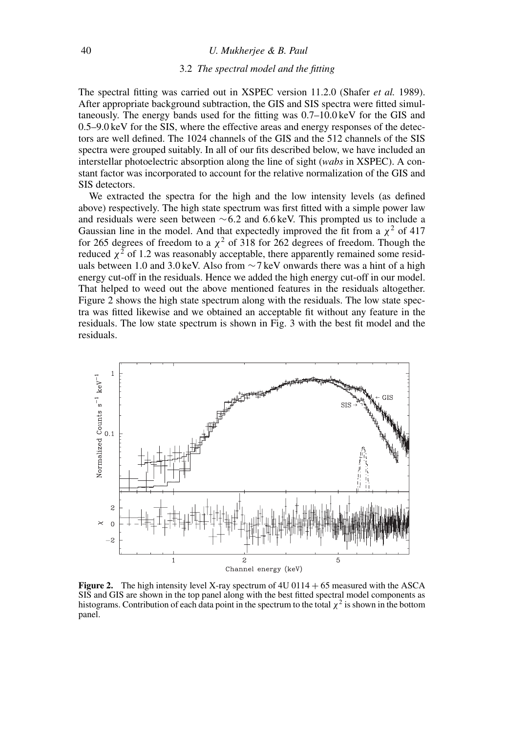#### 40 *U. Mukherjee & B. Paul*

#### 3.2 *The spectral model and the fitting*

The spectral fitting was carried out in XSPEC version 11.2.0 (Shafer *et al.* 1989). After appropriate background subtraction, the GIS and SIS spectra were fitted simultaneously. The energy bands used for the fitting was 0.7–10.0 keV for the GIS and 0.5–9.0 keV for the SIS, where the effective areas and energy responses of the detectors are well defined. The 1024 channels of the GIS and the 512 channels of the SIS spectra were grouped suitably. In all of our fits described below, we have included an interstellar photoelectric absorption along the line of sight (*wabs* in XSPEC). A constant factor was incorporated to account for the relative normalization of the GIS and SIS detectors.

We extracted the spectra for the high and the low intensity levels (as defined above) respectively. The high state spectrum was first fitted with a simple power law and residuals were seen between ∼6.2 and 6.6 keV. This prompted us to include a Gaussian line in the model. And that expectedly improved the fit from a  $\chi^2$  of 417 for 265 degrees of freedom to a  $\chi^2$  of 318 for 262 degrees of freedom. Though the reduced  $\chi^2$  of 1.2 was reasonably acceptable, there apparently remained some residuals between 1.0 and 3.0 keV. Also from  $\sim$ 7 keV onwards there was a hint of a high energy cut-off in the residuals. Hence we added the high energy cut-off in our model. That helped to weed out the above mentioned features in the residuals altogether. Figure 2 shows the high state spectrum along with the residuals. The low state spectra was fitted likewise and we obtained an acceptable fit without any feature in the residuals. The low state spectrum is shown in Fig. 3 with the best fit model and the residuals.



**Figure 2.** The high intensity level X-ray spectrum of  $4U \, 0114 + 65$  measured with the ASCA SIS and GIS are shown in the top panel along with the best fitted spectral model components as histograms. Contribution of each data point in the spectrum to the total  $\chi^2$  is shown in the bottom panel.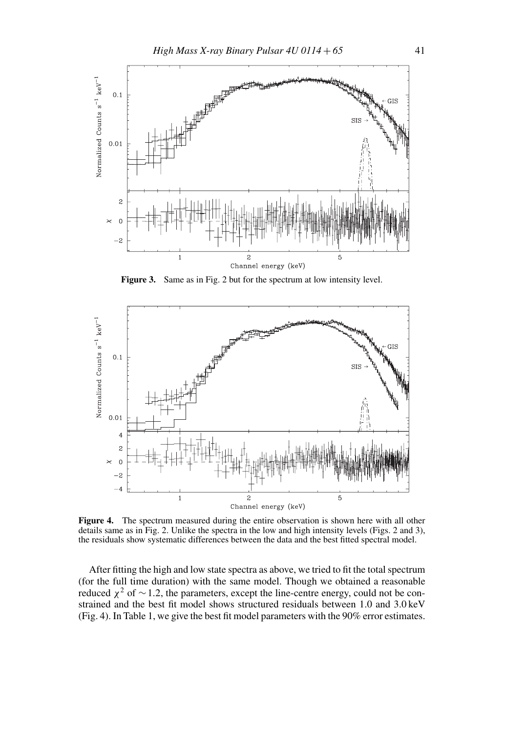

**Figure 3.** Same as in Fig. 2 but for the spectrum at low intensity level.



**Figure 4.** The spectrum measured during the entire observation is shown here with all other details same as in Fig. 2. Unlike the spectra in the low and high intensity levels (Figs. 2 and 3), the residuals show systematic differences between the data and the best fitted spectral model.

After fitting the high and low state spectra as above, we tried to fit the total spectrum (for the full time duration) with the same model. Though we obtained a reasonable reduced  $\chi^2$  of ~1.2, the parameters, except the line-centre energy, could not be constrained and the best fit model shows structured residuals between 1.0 and 3.0 keV (Fig. 4). In Table 1, we give the best fit model parameters with the 90% error estimates.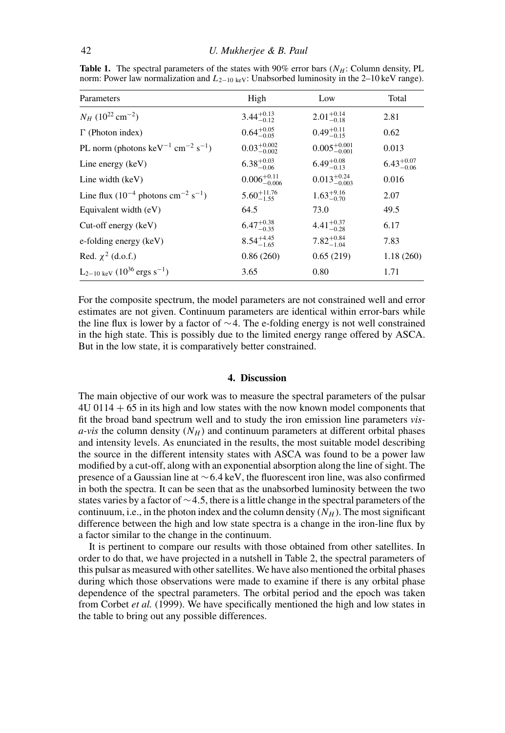| Parameters                                                            | High                     | Low                       | Total                  |
|-----------------------------------------------------------------------|--------------------------|---------------------------|------------------------|
| $N_H$ (10 <sup>22</sup> cm <sup>-2</sup> )                            | $3.44^{+0.13}_{-0.12}$   | $2.01^{+0.14}_{-0.18}$    | 2.81                   |
| $\Gamma$ (Photon index)                                               | $0.64^{+0.05}_{-0.05}$   | $0.49^{+0.11}_{-0.15}$    | 0.62                   |
| PL norm (photons keV <sup>-1</sup> cm <sup>-2</sup> s <sup>-1</sup> ) | $0.03_{-0.002}^{+0.002}$ | $0.005^{+0.001}_{-0.001}$ | 0.013                  |
| Line energy (keV)                                                     | $6.38^{+0.03}_{-0.06}$   | $6.49^{+0.08}_{-0.13}$    | $6.43^{+0.07}_{-0.06}$ |
| Line width $(key)$                                                    | $0.006_{-0.006}^{+0.11}$ | $0.013_{-0.003}^{+0.24}$  | 0.016                  |
| Line flux $(10^{-4}$ photons cm <sup>-2</sup> s <sup>-1</sup> )       | $5.60^{+11.76}_{-1.55}$  | $1.63_{-0.70}^{+9.16}$    | 2.07                   |
| Equivalent width (eV)                                                 | 64.5                     | 73.0                      | 49.5                   |
| $Cut-off$ energy $(keV)$                                              | $6.47^{+0.38}_{-0.35}$   | $4.41^{+0.37}_{-0.28}$    | 6.17                   |
| e-folding energy (keV)                                                | $8.54^{+4.45}_{-1.65}$   | $7.82^{+0.84}_{-1.04}$    | 7.83                   |
| Red. $\chi^2$ (d.o.f.)                                                | 0.86(260)                | 0.65(219)                 | 1.18(260)              |
| $L_{2-10 \text{ keV}}$ (10 <sup>36</sup> ergs s <sup>-1</sup> )       | 3.65                     | 0.80                      | 1.71                   |

**Table 1.** The spectral parameters of the states with  $90\%$  error bars ( $N_H$ : Column density, PL norm: Power law normalization and  $L_{2-10 \text{ keV}}$ : Unabsorbed luminosity in the 2–10 keV range).

For the composite spectrum, the model parameters are not constrained well and error estimates are not given. Continuum parameters are identical within error-bars while the line flux is lower by a factor of ∼4. The e-folding energy is not well constrained in the high state. This is possibly due to the limited energy range offered by ASCA. But in the low state, it is comparatively better constrained.

#### **4. Discussion**

The main objective of our work was to measure the spectral parameters of the pulsar 4U 0114 + 65 in its high and low states with the now known model components that fit the broad band spectrum well and to study the iron emission line parameters *vis* $a$ -vis the column density  $(N_H)$  and continuum parameters at different orbital phases and intensity levels. As enunciated in the results, the most suitable model describing the source in the different intensity states with ASCA was found to be a power law modified by a cut-off, along with an exponential absorption along the line of sight. The presence of a Gaussian line at ∼6.4 keV, the fluorescent iron line, was also confirmed in both the spectra. It can be seen that as the unabsorbed luminosity between the two states varies by a factor of ∼4.5, there is a little change in the spectral parameters of the continuum, i.e., in the photon index and the column density  $(N_H)$ . The most significant difference between the high and low state spectra is a change in the iron-line flux by a factor similar to the change in the continuum.

It is pertinent to compare our results with those obtained from other satellites. In order to do that, we have projected in a nutshell in Table 2, the spectral parameters of this pulsar as measured with other satellites. We have also mentioned the orbital phases during which those observations were made to examine if there is any orbital phase dependence of the spectral parameters. The orbital period and the epoch was taken from Corbet *et al.* (1999). We have specifically mentioned the high and low states in the table to bring out any possible differences.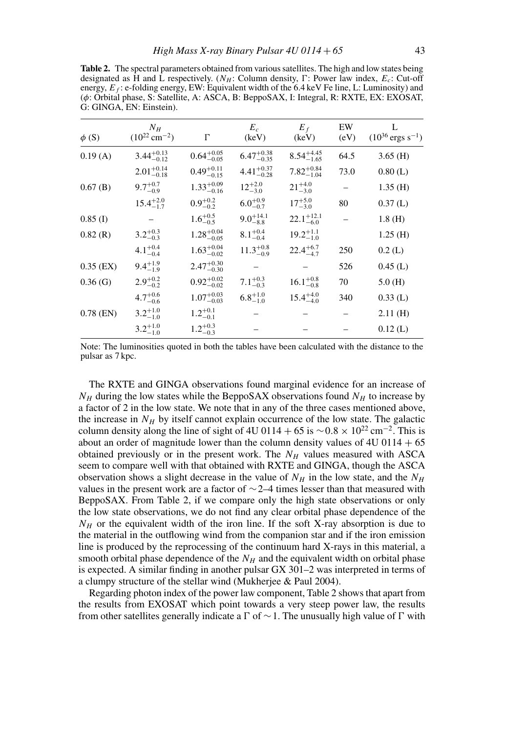**Table 2.** The spectral parameters obtained from various satellites. The high and low states being designated as H and L respectively. ( $N_H$ : Column density,  $\Gamma$ : Power law index,  $E_c$ : Cut-off energy,  $E_f$ : e-folding energy, EW: Equivalent width of the 6.4 keV Fe line, L: Luminosity) and (φ: Orbital phase, S: Satellite, A: ASCA, B: BeppoSAX, I: Integral, R: RXTE, EX: EXOSAT, G: GINGA, EN: Einstein).

| $\phi$ (S)  | $N_H$<br>$(10^{22}$ cm <sup>-2</sup> ) | $\Gamma$               | $E_c$<br>(keV)         | $E_f$<br>(keV)         | EW<br>(eV) | L<br>$(10^{36} \text{ ergs s}^{-1})$ |
|-------------|----------------------------------------|------------------------|------------------------|------------------------|------------|--------------------------------------|
| 0.19(A)     | $3.44^{+0.13}_{-0.12}$                 | $0.64^{+0.05}_{-0.05}$ | $6.47^{+0.38}_{-0.35}$ | $8.54^{+4.45}_{-1.65}$ | 64.5       | $3.65$ (H)                           |
|             | $2.01_{-0.18}^{+0.14}$                 | $0.49^{+0.11}_{-0.15}$ | $4.41_{-0.28}^{+0.37}$ | $7.82^{+0.84}_{-1.04}$ | 73.0       | 0.80(L)                              |
| $0.67$ (B)  | $9.7^{+0.7}_{-0.9}$                    | $1.33^{+0.09}_{-0.16}$ | $12^{+2.0}_{-3.0}$     | $21^{+4.0}_{-3.0}$     |            | $1.35$ (H)                           |
|             | $15.4^{+2.0}_{-1.7}$                   | $0.9^{+0.2}_{-0.2}$    | $6.0^{+0.9}_{-0.7}$    | $17^{+5.0}_{-3.0}$     | 80         | 0.37(L)                              |
| $0.85$ (I)  |                                        | $1.6^{+0.5}_{-0.5}$    | $9.0^{+14.1}_{-8.8}$   | $22.1^{+12.1}_{-6.0}$  |            | 1.8(H)                               |
| 0.82(R)     | $3.2^{+0.3}_{-0.3}$                    | $1.28^{+0.04}_{-0.05}$ | $8.1^{+0.4}_{-0.4}$    | $19.2^{+1.1}_{-1.0}$   |            | $1.25$ (H)                           |
|             | $4.1^{+0.4}_{-0.4}$                    | $1.63_{-0.02}^{+0.04}$ | $11.3^{+0.8}_{-0.9}$   | $22.4^{+6.7}_{-4.7}$   | 250        | 0.2(L)                               |
| $0.35$ (EX) | $9.4^{+1.9}_{-1.9}$                    | $2.47^{+0.30}_{-0.30}$ |                        |                        | 526        | $0.45$ (L)                           |
| 0.36(G)     | $2.9^{+0.2}_{-0.2}$                    | $0.92^{+0.02}_{-0.02}$ | $7.1^{+0.3}_{-0.3}$    | $16.1^{+0.8}_{-0.8}$   | 70         | 5.0(H)                               |
|             | $4.7^{+0.6}_{-0.6}$                    | $1.07^{+0.03}_{-0.03}$ | $6.8^{+1.0}_{-1.0}$    | $15.4^{+4.0}_{-4.0}$   | 340        | $0.33$ (L)                           |
| $0.78$ (EN) | $3.2^{+1.0}_{-1.0}$                    | $1.2^{+0.1}_{-0.1}$    |                        |                        |            | 2.11(H)                              |
|             | $3.2^{+1.0}_{-1.0}$                    | $1.2^{+0.3}_{-0.3}$    |                        |                        |            | $0.12$ (L)                           |

Note: The luminosities quoted in both the tables have been calculated with the distance to the pulsar as 7 kpc.

The RXTE and GINGA observations found marginal evidence for an increase of  $N_H$  during the low states while the BeppoSAX observations found  $N_H$  to increase by a factor of 2 in the low state. We note that in any of the three cases mentioned above, the increase in  $N_H$  by itself cannot explain occurrence of the low state. The galactic column density along the line of sight of 4U 0114 + 65 is  $\sim$  0.8 × 10<sup>22</sup> cm<sup>-2</sup>. This is about an order of magnitude lower than the column density values of  $4U\ 0114 + 65$ obtained previously or in the present work. The  $N_H$  values measured with ASCA seem to compare well with that obtained with RXTE and GINGA, though the ASCA observation shows a slight decrease in the value of  $N_H$  in the low state, and the  $N_H$ values in the present work are a factor of ∼2–4 times lesser than that measured with BeppoSAX. From Table 2, if we compare only the high state observations or only the low state observations, we do not find any clear orbital phase dependence of the  $N_H$  or the equivalent width of the iron line. If the soft X-ray absorption is due to the material in the outflowing wind from the companion star and if the iron emission line is produced by the reprocessing of the continuum hard X-rays in this material, a smooth orbital phase dependence of the  $N_H$  and the equivalent width on orbital phase is expected. A similar finding in another pulsar GX 301–2 was interpreted in terms of a clumpy structure of the stellar wind (Mukherjee & Paul 2004).

Regarding photon index of the power law component, Table 2 shows that apart from the results from EXOSAT which point towards a very steep power law, the results from other satellites generally indicate a  $\Gamma$  of  $\sim$  1. The unusually high value of  $\Gamma$  with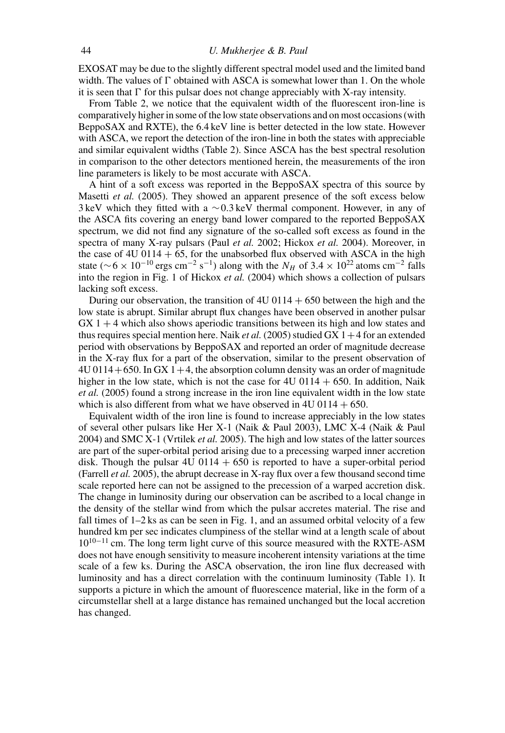EXOSAT may be due to the slightly different spectral model used and the limited band width. The values of  $\Gamma$  obtained with ASCA is somewhat lower than 1. On the whole it is seen that  $\Gamma$  for this pulsar does not change appreciably with X-ray intensity.

From Table 2, we notice that the equivalent width of the fluorescent iron-line is comparatively higher in some of the low state observations and on most occasions (with BeppoSAX and RXTE), the 6.4 keV line is better detected in the low state. However with ASCA, we report the detection of the iron-line in both the states with appreciable and similar equivalent widths (Table 2). Since ASCA has the best spectral resolution in comparison to the other detectors mentioned herein, the measurements of the iron line parameters is likely to be most accurate with ASCA.

A hint of a soft excess was reported in the BeppoSAX spectra of this source by Masetti *et al.* (2005). They showed an apparent presence of the soft excess below 3 keV which they fitted with a ∼0.3 keV thermal component. However, in any of the ASCA fits covering an energy band lower compared to the reported BeppoSAX spectrum, we did not find any signature of the so-called soft excess as found in the spectra of many X-ray pulsars (Paul *et al.* 2002; Hickox *et al.* 2004). Moreover, in the case of  $4U 0114 + 65$ , for the unabsorbed flux observed with ASCA in the high state ( $\sim$  6 × 10<sup>-10</sup> ergs cm<sup>-2</sup> s<sup>-1</sup>) along with the N<sub>H</sub> of 3.4 × 10<sup>22</sup> atoms cm<sup>-2</sup> falls into the region in Fig. 1 of Hickox *et al.* (2004) which shows a collection of pulsars lacking soft excess.

During our observation, the transition of  $4U\,0114 + 650$  between the high and the low state is abrupt. Similar abrupt flux changes have been observed in another pulsar  $GX 1 + 4$  which also shows aperiodic transitions between its high and low states and thus requires special mention here. Naik *et al.* (2005) studied GX  $1+4$  for an extended period with observations by BeppoSAX and reported an order of magnitude decrease in the X-ray flux for a part of the observation, similar to the present observation of  $4U 0114+650$ . In GX 1+4, the absorption column density was an order of magnitude higher in the low state, which is not the case for  $4U\,0114 + 650$ . In addition, Naik *et al.* (2005) found a strong increase in the iron line equivalent width in the low state which is also different from what we have observed in  $4U\,0114 + 650$ .

Equivalent width of the iron line is found to increase appreciably in the low states of several other pulsars like Her X-1 (Naik & Paul 2003), LMC X-4 (Naik & Paul 2004) and SMC X-1 (Vrtilek *et al.* 2005). The high and low states of the latter sources are part of the super-orbital period arising due to a precessing warped inner accretion disk. Though the pulsar  $4U \t0114 + 650$  is reported to have a super-orbital period (Farrell *et al.* 2005), the abrupt decrease in X-ray flux over a few thousand second time scale reported here can not be assigned to the precession of a warped accretion disk. The change in luminosity during our observation can be ascribed to a local change in the density of the stellar wind from which the pulsar accretes material. The rise and fall times of 1–2 ks as can be seen in Fig. 1, and an assumed orbital velocity of a few hundred km per sec indicates clumpiness of the stellar wind at a length scale of about  $10^{10-11}$  cm. The long term light curve of this source measured with the RXTE-ASM does not have enough sensitivity to measure incoherent intensity variations at the time scale of a few ks. During the ASCA observation, the iron line flux decreased with luminosity and has a direct correlation with the continuum luminosity (Table 1). It supports a picture in which the amount of fluorescence material, like in the form of a circumstellar shell at a large distance has remained unchanged but the local accretion has changed.